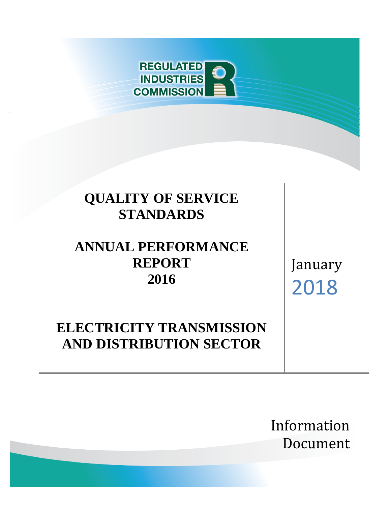

# **QUALITY OF SERVICE STANDARDS**

# **ANNUAL PERFORMANCE REPORT 2016**

# **ELECTRICITY TRANSMISSION AND DISTRIBUTION SECTOR**

Information Document

January

2018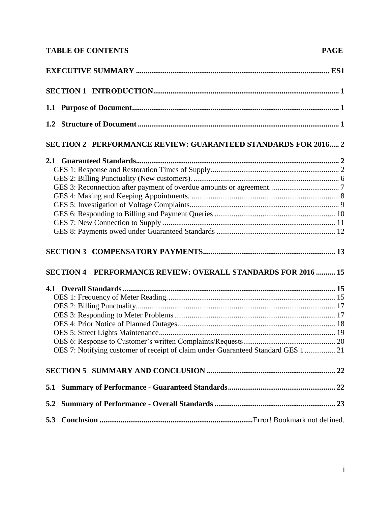# **TABLE OF CONTENTS PAGE**

| <b>SECTION 2 PERFORMANCE REVIEW: GUARANTEED STANDARDS FOR 2016 2</b>             |  |
|----------------------------------------------------------------------------------|--|
|                                                                                  |  |
|                                                                                  |  |
|                                                                                  |  |
|                                                                                  |  |
|                                                                                  |  |
|                                                                                  |  |
|                                                                                  |  |
|                                                                                  |  |
|                                                                                  |  |
|                                                                                  |  |
| SECTION 4 PERFORMANCE REVIEW: OVERALL STANDARDS FOR 2016  15                     |  |
|                                                                                  |  |
|                                                                                  |  |
|                                                                                  |  |
|                                                                                  |  |
|                                                                                  |  |
|                                                                                  |  |
|                                                                                  |  |
| OES 7: Notifying customer of receipt of claim under Guaranteed Standard GES 1 21 |  |
|                                                                                  |  |
|                                                                                  |  |
| 5.2                                                                              |  |
|                                                                                  |  |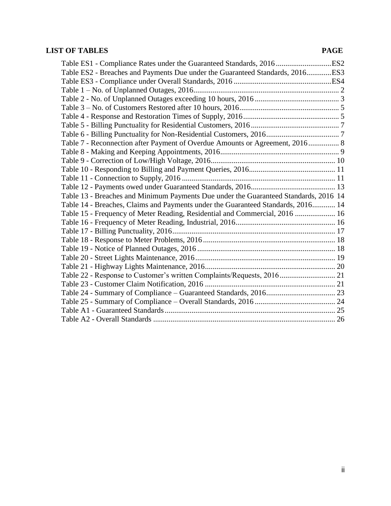# **LIST OF TABLES PAGE**

| Table ES2 - Breaches and Payments Due under the Guaranteed Standards, 2016ES3        |  |
|--------------------------------------------------------------------------------------|--|
|                                                                                      |  |
|                                                                                      |  |
|                                                                                      |  |
|                                                                                      |  |
|                                                                                      |  |
|                                                                                      |  |
|                                                                                      |  |
| Table 7 - Reconnection after Payment of Overdue Amounts or Agreement, 2016 8         |  |
|                                                                                      |  |
|                                                                                      |  |
|                                                                                      |  |
|                                                                                      |  |
|                                                                                      |  |
| Table 13 - Breaches and Minimum Payments Due under the Guaranteed Standards, 2016 14 |  |
| Table 14 - Breaches, Claims and Payments under the Guaranteed Standards, 2016 14     |  |
| Table 15 - Frequency of Meter Reading, Residential and Commercial, 2016  16          |  |
|                                                                                      |  |
|                                                                                      |  |
|                                                                                      |  |
|                                                                                      |  |
|                                                                                      |  |
|                                                                                      |  |
| Table 22 - Response to Customer's written Complaints/Requests, 2016 21               |  |
|                                                                                      |  |
|                                                                                      |  |
|                                                                                      |  |
|                                                                                      |  |
|                                                                                      |  |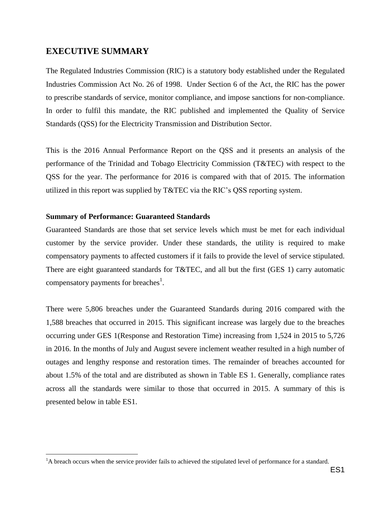#### <span id="page-4-0"></span>**EXECUTIVE SUMMARY**

The Regulated Industries Commission (RIC) is a statutory body established under the Regulated Industries Commission Act No. 26 of 1998. Under Section 6 of the Act, the RIC has the power to prescribe standards of service, monitor compliance, and impose sanctions for non-compliance. In order to fulfil this mandate, the RIC published and implemented the Quality of Service Standards (QSS) for the Electricity Transmission and Distribution Sector.

This is the 2016 Annual Performance Report on the QSS and it presents an analysis of the performance of the Trinidad and Tobago Electricity Commission (T&TEC) with respect to the QSS for the year. The performance for 2016 is compared with that of 2015. The information utilized in this report was supplied by T&TEC via the RIC's QSS reporting system.

#### **Summary of Performance: Guaranteed Standards**

 $\overline{a}$ 

Guaranteed Standards are those that set service levels which must be met for each individual customer by the service provider. Under these standards, the utility is required to make compensatory payments to affected customers if it fails to provide the level of service stipulated. There are eight guaranteed standards for T&TEC, and all but the first (GES 1) carry automatic compensatory payments for breaches<sup>1</sup>.

There were 5,806 breaches under the Guaranteed Standards during 2016 compared with the 1,588 breaches that occurred in 2015. This significant increase was largely due to the breaches occurring under GES 1(Response and Restoration Time) increasing from 1,524 in 2015 to 5,726 in 2016. In the months of July and August severe inclement weather resulted in a high number of outages and lengthy response and restoration times. The remainder of breaches accounted for about 1.5% of the total and are distributed as shown in Table ES 1. Generally, compliance rates across all the standards were similar to those that occurred in 2015. A summary of this is presented below in table ES1.

<sup>&</sup>lt;sup>1</sup>A breach occurs when the service provider fails to achieved the stipulated level of performance for a standard.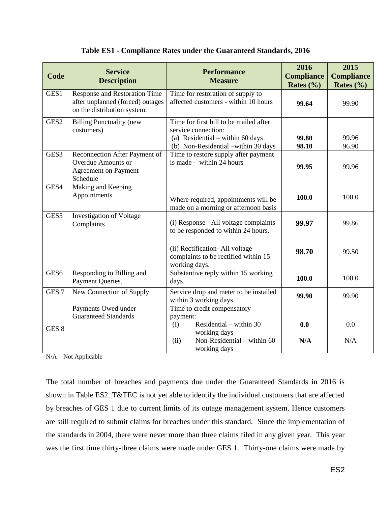<span id="page-5-0"></span>

| Code             | <b>Service</b><br><b>Description</b>                                                             | <b>Performance</b><br><b>Measure</b>                                                                                                     | 2016<br><b>Compliance</b><br>Rates $(\% )$ | 2015<br><b>Compliance</b><br>Rates $(\% )$ |
|------------------|--------------------------------------------------------------------------------------------------|------------------------------------------------------------------------------------------------------------------------------------------|--------------------------------------------|--------------------------------------------|
| GES1             | Response and Restoration Time<br>after unplanned (forced) outages<br>on the distribution system. | Time for restoration of supply to<br>affected customers - within 10 hours                                                                | 99.64                                      | 99.90                                      |
| GES <sub>2</sub> | <b>Billing Punctuality (new</b><br>customers)                                                    | Time for first bill to be mailed after<br>service connection:<br>(a) Residential – within 60 days<br>(b) Non-Residential -within 30 days | 99.80<br>98.10                             | 99.96<br>96.90                             |
| GES <sub>3</sub> | Reconnection After Payment of<br>Overdue Amounts or<br><b>Agreement on Payment</b><br>Schedule   | Time to restore supply after payment<br>is made - within 24 hours                                                                        | 99.95                                      | 99.96                                      |
| GES4             | Making and Keeping<br>Appointments                                                               | Where required, appointments will be<br>made on a morning or afternoon basis                                                             | 100.0                                      | 100.0                                      |
| GES5             | Investigation of Voltage<br>Complaints                                                           | (i) Response - All voltage complaints<br>to be responded to within 24 hours.                                                             | 99.97                                      | 99.86                                      |
|                  |                                                                                                  | (ii) Rectification- All voltage<br>complaints to be rectified within 15<br>working days.                                                 | 98.70                                      | 99.50                                      |
| GES <sub>6</sub> | Responding to Billing and<br>Payment Queries.                                                    | Substantive reply within 15 working<br>days.                                                                                             | 100.0                                      | 100.0                                      |
| GES <sub>7</sub> | New Connection of Supply                                                                         | Service drop and meter to be installed<br>within 3 working days.                                                                         | 99.90                                      | 99.90                                      |
| GES <sub>8</sub> | Payments Owed under<br><b>Guaranteed Standards</b>                                               | Time to credit compensatory<br>payment:<br>Residential – within $30$<br>(i)<br>working days                                              | 0.0                                        | 0.0                                        |
|                  |                                                                                                  | Non-Residential - within 60<br>(ii)<br>working days                                                                                      | N/A                                        | N/A                                        |

#### **Table ES1 - Compliance Rates under the Guaranteed Standards, 2016**

N/A – Not Applicable

The total number of breaches and payments due under the Guaranteed Standards in 2016 is shown in Table ES2. T&TEC is not yet able to identify the individual customers that are affected by breaches of GES 1 due to current limits of its outage management system. Hence customers are still required to submit claims for breaches under this standard. Since the implementation of the standards in 2004, there were never more than three claims filed in any given year. This year was the first time thirty-three claims were made under GES 1. Thirty-one claims were made by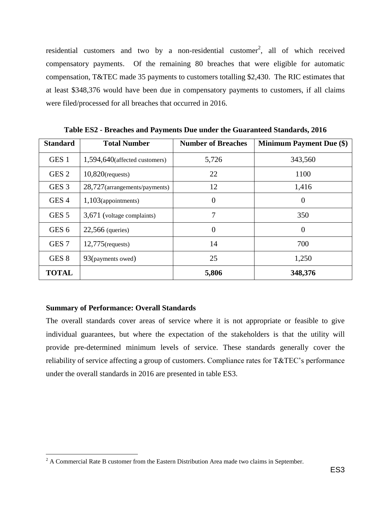residential customers and two by a non-residential customer<sup>2</sup>, all of which received compensatory payments. Of the remaining 80 breaches that were eligible for automatic compensation, T&TEC made 35 payments to customers totalling \$2,430. The RIC estimates that at least \$348,376 would have been due in compensatory payments to customers, if all claims were filed/processed for all breaches that occurred in 2016.

<span id="page-6-0"></span>

| <b>Standard</b>  | <b>Total Number</b>           | <b>Number of Breaches</b> | <b>Minimum Payment Due (\$)</b> |
|------------------|-------------------------------|---------------------------|---------------------------------|
| GES <sub>1</sub> | 1,594,640(affected customers) | 5,726                     | 343,560                         |
| GES <sub>2</sub> | $10,820$ (requests)           | 22                        | 1100                            |
| GES <sub>3</sub> | 28,727(arrangements/payments) | 12                        | 1,416                           |
| GES <sub>4</sub> | $1,103$ (appointments)        | $\overline{0}$            | $\theta$                        |
| GES <sub>5</sub> | 3,671 (voltage complaints)    | 7                         | 350                             |
| GES <sub>6</sub> | $22,566$ (queries)            | $\overline{0}$            | $\theta$                        |
| GES <sub>7</sub> | $12,775$ (requests)           | 14                        | 700                             |
| GES 8            | 93(payments owed)             | 25                        | 1,250                           |
| <b>TOTAL</b>     |                               | 5,806                     | 348,376                         |

**Table ES2 - Breaches and Payments Due under the Guaranteed Standards, 2016**

#### **Summary of Performance: Overall Standards**

 $\overline{a}$ 

The overall standards cover areas of service where it is not appropriate or feasible to give individual guarantees, but where the expectation of the stakeholders is that the utility will provide pre-determined minimum levels of service. These standards generally cover the reliability of service affecting a group of customers. Compliance rates for T&TEC's performance under the overall standards in 2016 are presented in table ES3.

 $2^2$  A Commercial Rate B customer from the Eastern Distribution Area made two claims in September.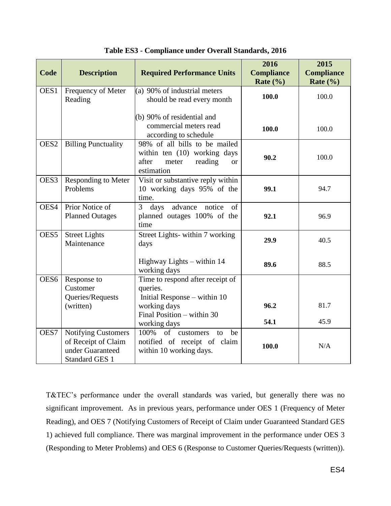<span id="page-7-0"></span>

|                  |                                         |                                                                 | 2016              | 2015              |
|------------------|-----------------------------------------|-----------------------------------------------------------------|-------------------|-------------------|
| Code             | <b>Description</b>                      | <b>Required Performance Units</b>                               | <b>Compliance</b> | <b>Compliance</b> |
| OES1             |                                         | (a) 90% of industrial meters                                    | Rate $(\% )$      | Rate $(\% )$      |
|                  | Frequency of Meter<br>Reading           | should be read every month                                      | 100.0             | 100.0             |
|                  |                                         |                                                                 |                   |                   |
|                  |                                         | (b) 90% of residential and                                      |                   |                   |
|                  |                                         | commercial meters read                                          | 100.0             | 100.0             |
|                  |                                         | according to schedule                                           |                   |                   |
| OES <sub>2</sub> | <b>Billing Punctuality</b>              | 98% of all bills to be mailed                                   |                   |                   |
|                  |                                         | within ten (10) working days                                    | 90.2              | 100.0             |
|                  |                                         | after<br>meter<br>reading<br><sub>or</sub>                      |                   |                   |
| OES3             |                                         | estimation                                                      |                   |                   |
|                  | Responding to Meter<br>Problems         | Visit or substantive reply within<br>10 working days 95% of the | 99.1              | 94.7              |
|                  |                                         | time.                                                           |                   |                   |
| OES4             | Prior Notice of                         | advance notice<br>3<br>days<br>of                               |                   |                   |
|                  | <b>Planned Outages</b>                  | planned outages 100% of the                                     | 92.1              | 96.9              |
|                  |                                         | time                                                            |                   |                   |
| OES <sub>5</sub> | <b>Street Lights</b>                    | Street Lights- within 7 working                                 | 29.9              | 40.5              |
|                  | Maintenance                             | days                                                            |                   |                   |
|                  |                                         |                                                                 |                   |                   |
|                  |                                         | Highway Lights – within 14<br>working days                      | 89.6              | 88.5              |
| OES <sub>6</sub> | Response to                             | Time to respond after receipt of                                |                   |                   |
|                  | Customer                                | queries.                                                        |                   |                   |
|                  | Queries/Requests                        | Initial Response – within 10                                    |                   |                   |
|                  | (written)                               | working days                                                    | 96.2              | 81.7              |
|                  |                                         | Final Position - within 30                                      |                   |                   |
|                  |                                         | working days                                                    | 54.1              | 45.9              |
| OES7             | Notifying Customers                     | 100% of customers<br>be<br>to                                   |                   |                   |
|                  | of Receipt of Claim<br>under Guaranteed | notified of receipt of claim<br>within 10 working days.         | 100.0             | N/A               |
|                  |                                         |                                                                 |                   |                   |
|                  | Standard GES 1                          |                                                                 |                   |                   |

T&TEC's performance under the overall standards was varied, but generally there was no significant improvement. As in previous years, performance under OES 1 (Frequency of Meter Reading), and OES 7 (Notifying Customers of Receipt of Claim under Guaranteed Standard GES 1) achieved full compliance. There was marginal improvement in the performance under OES 3 (Responding to Meter Problems) and OES 6 (Response to Customer Queries/Requests (written)).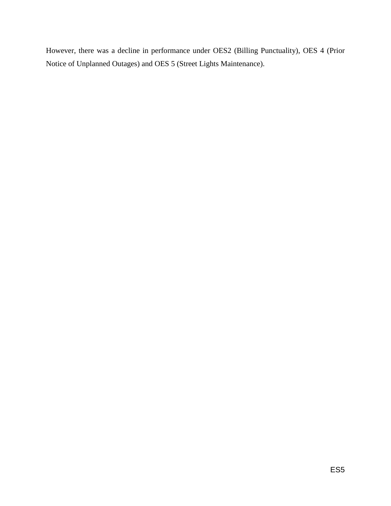However, there was a decline in performance under OES2 (Billing Punctuality), OES 4 (Prior Notice of Unplanned Outages) and OES 5 (Street Lights Maintenance).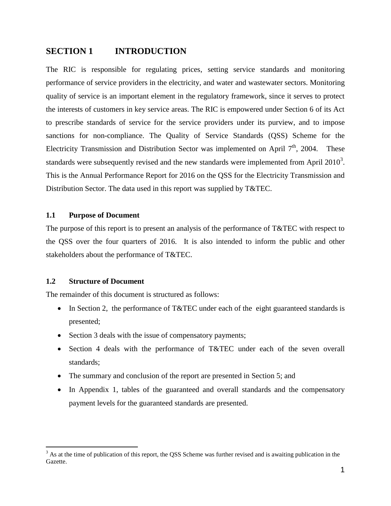### <span id="page-9-0"></span>**SECTION 1 INTRODUCTION**

The RIC is responsible for regulating prices, setting service standards and monitoring performance of service providers in the electricity, and water and wastewater sectors. Monitoring quality of service is an important element in the regulatory framework, since it serves to protect the interests of customers in key service areas. The RIC is empowered under Section 6 of its Act to prescribe standards of service for the service providers under its purview, and to impose sanctions for non-compliance. The Quality of Service Standards (QSS) Scheme for the Electricity Transmission and Distribution Sector was implemented on April  $7<sup>th</sup>$ , 2004. These standards were subsequently revised and the new standards were implemented from April  $2010<sup>3</sup>$ . This is the Annual Performance Report for 2016 on the QSS for the Electricity Transmission and Distribution Sector. The data used in this report was supplied by T&TEC.

#### <span id="page-9-1"></span>**1.1 Purpose of Document**

The purpose of this report is to present an analysis of the performance of T&TEC with respect to the QSS over the four quarters of 2016. It is also intended to inform the public and other stakeholders about the performance of T&TEC.

#### <span id="page-9-2"></span>**1.2 Structure of Document**

 $\overline{a}$ 

The remainder of this document is structured as follows:

- In Section 2, the performance of T&TEC under each of the eight guaranteed standards is presented;
- Section 3 deals with the issue of compensatory payments;
- Section 4 deals with the performance of T&TEC under each of the seven overall standards;
- The summary and conclusion of the report are presented in Section 5; and
- In Appendix 1, tables of the guaranteed and overall standards and the compensatory payment levels for the guaranteed standards are presented.

 $3$  As at the time of publication of this report, the QSS Scheme was further revised and is awaiting publication in the Gazette.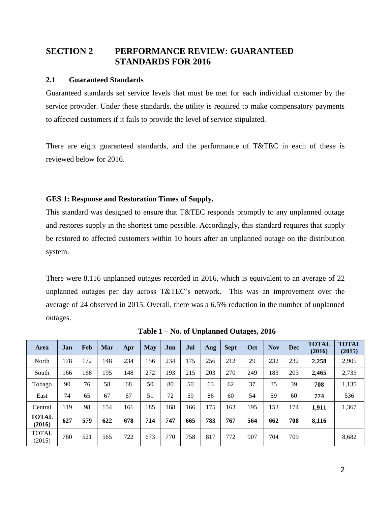# <span id="page-10-0"></span>**SECTION 2 PERFORMANCE REVIEW: GUARANTEED STANDARDS FOR 2016**

#### <span id="page-10-1"></span>**2.1 Guaranteed Standards**

Guaranteed standards set service levels that must be met for each individual customer by the service provider. Under these standards, the utility is required to make compensatory payments to affected customers if it fails to provide the level of service stipulated.

There are eight guaranteed standards, and the performance of T&TEC in each of these is reviewed below for 2016.

#### <span id="page-10-2"></span>**GES 1: Response and Restoration Times of Supply.**

This standard was designed to ensure that T&TEC responds promptly to any unplanned outage and restores supply in the shortest time possible. Accordingly, this standard requires that supply be restored to affected customers within 10 hours after an unplanned outage on the distribution system.

There were 8,116 unplanned outages recorded in 2016, which is equivalent to an average of 22 unplanned outages per day across T&TEC's network. This was an improvement over the average of 24 observed in 2015. Overall, there was a 6.5% reduction in the number of unplanned outages.

<span id="page-10-3"></span>

| Area                   | Jan | Feb | Mar | Apr | <b>May</b> | Jun | Jul | Aug | <b>Sept</b> | Oct | <b>Nov</b> | <b>Dec</b> | <b>TOTAL</b><br>(2016) | <b>TOTAL</b><br>(2015) |
|------------------------|-----|-----|-----|-----|------------|-----|-----|-----|-------------|-----|------------|------------|------------------------|------------------------|
| North                  | 178 | 172 | 148 | 234 | 156        | 234 | 175 | 256 | 212         | 29  | 232        | 232        | 2,258                  | 2,905                  |
| South                  | 166 | 168 | 195 | 148 | 272        | 193 | 215 | 203 | 270         | 249 | 183        | 203        | 2.465                  | 2,735                  |
| Tobago                 | 90  | 76  | 58  | 68  | 50         | 80  | 50  | 63  | 62          | 37  | 35         | 39         | 708                    | 1,135                  |
| East                   | 74  | 65  | 67  | 67  | 51         | 72  | 59  | 86  | 60          | 54  | 59         | 60         | 774                    | 536                    |
| Central                | 119 | 98  | 154 | 161 | 185        | 168 | 166 | 175 | 163         | 195 | 153        | 174        | 1,911                  | 1,367                  |
| <b>TOTAL</b><br>(2016) | 627 | 579 | 622 | 678 | 714        | 747 | 665 | 783 | 767         | 564 | 662        | 708        | 8,116                  |                        |
| <b>TOTAL</b><br>(2015) | 760 | 521 | 565 | 722 | 673        | 770 | 758 | 817 | 772         | 907 | 704        | 709        |                        | 8,682                  |

**Table 1 – No. of Unplanned Outages, 2016**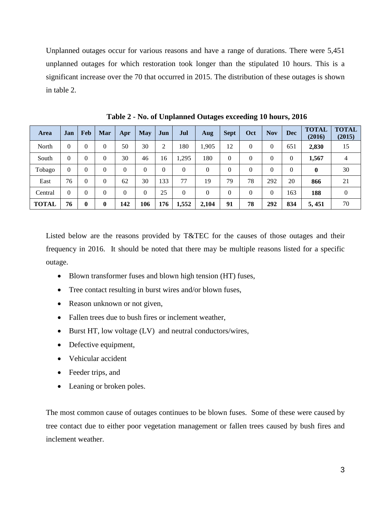Unplanned outages occur for various reasons and have a range of durations. There were 5,451 unplanned outages for which restoration took longer than the stipulated 10 hours. This is a significant increase over the 70 that occurred in 2015. The distribution of these outages is shown in table 2.

<span id="page-11-0"></span>

| Area         | Jan      | Feb | Mar      | Apr      | <b>May</b> | Jun            | Jul      | Aug      | <b>Sept</b>    | Oct      | <b>Nov</b> | <b>Dec</b> | <b>TOTAL</b><br>(2016) | <b>TOTAL</b><br>(2015) |
|--------------|----------|-----|----------|----------|------------|----------------|----------|----------|----------------|----------|------------|------------|------------------------|------------------------|
| North        | $\theta$ | 0   | $\theta$ | 50       | 30         | $\overline{2}$ | 180      | 1,905    | 12             | $\Omega$ | 0          | 651        | 2,830                  | 15                     |
| South        | $\Omega$ | 0   | $\theta$ | 30       | 46         | 16             | 1,295    | 180      | $\overline{0}$ | $\theta$ | $\theta$   | 0          | 1,567                  | $\overline{4}$         |
| Tobago       | $\theta$ | 0   | $\Omega$ | $\theta$ | $\theta$   | $\theta$       | $\theta$ | $\theta$ | $\overline{0}$ | 0        | 0          | 0          | 0                      | 30                     |
| East         | 76       | 0   | $\Omega$ | 62       | 30         | 133            | 77       | 19       | 79             | 78       | 292        | 20         | 866                    | 21                     |
| Central      | $\Omega$ | 0   | $\Omega$ | $\Omega$ | $\theta$   | 25             | $\theta$ | $\Omega$ | $\Omega$       | 0        | $\Omega$   | 163        | 188                    | $\theta$               |
| <b>TOTAL</b> | 76       | 0   | $\bf{0}$ | 142      | 106        | 176            | 1,552    | 2,104    | 91             | 78       | 292        | 834        | 5,451                  | 70                     |

**Table 2 - No. of Unplanned Outages exceeding 10 hours, 2016** 

Listed below are the reasons provided by T&TEC for the causes of those outages and their frequency in 2016. It should be noted that there may be multiple reasons listed for a specific outage.

- Blown transformer fuses and blown high tension (HT) fuses,
- Tree contact resulting in burst wires and/or blown fuses,
- Reason unknown or not given,
- Fallen trees due to bush fires or inclement weather,
- Burst HT, low voltage (LV) and neutral conductors/wires,
- Defective equipment,
- Vehicular accident
- Feeder trips, and
- Leaning or broken poles.

The most common cause of outages continues to be blown fuses. Some of these were caused by tree contact due to either poor vegetation management or fallen trees caused by bush fires and inclement weather.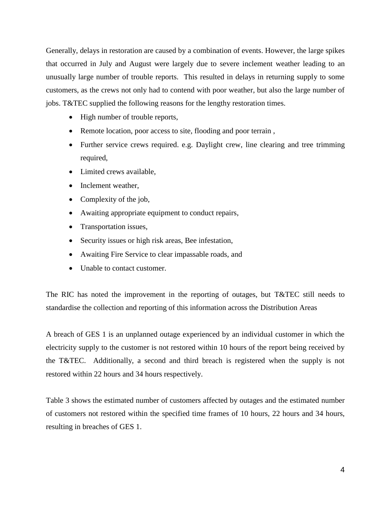Generally, delays in restoration are caused by a combination of events. However, the large spikes that occurred in July and August were largely due to severe inclement weather leading to an unusually large number of trouble reports. This resulted in delays in returning supply to some customers, as the crews not only had to contend with poor weather, but also the large number of jobs. T&TEC supplied the following reasons for the lengthy restoration times.

- High number of trouble reports,
- Remote location, poor access to site, flooding and poor terrain,
- Further service crews required. e.g. Daylight crew, line clearing and tree trimming required,
- Limited crews available,
- Inclement weather,
- Complexity of the job,
- Awaiting appropriate equipment to conduct repairs,
- Transportation issues,
- Security issues or high risk areas, Bee infestation,
- Awaiting Fire Service to clear impassable roads, and
- Unable to contact customer.

The RIC has noted the improvement in the reporting of outages, but T&TEC still needs to standardise the collection and reporting of this information across the Distribution Areas

A breach of GES 1 is an unplanned outage experienced by an individual customer in which the electricity supply to the customer is not restored within 10 hours of the report being received by the T&TEC. Additionally, a second and third breach is registered when the supply is not restored within 22 hours and 34 hours respectively.

Table 3 shows the estimated number of customers affected by outages and the estimated number of customers not restored within the specified time frames of 10 hours, 22 hours and 34 hours, resulting in breaches of GES 1.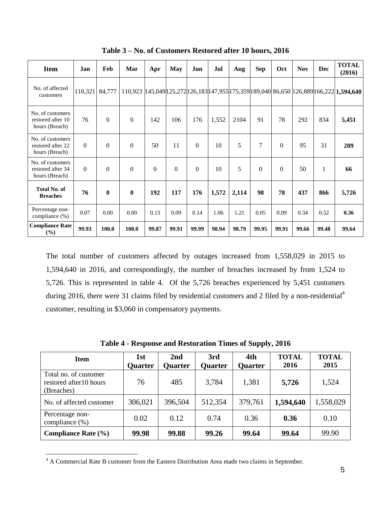<span id="page-13-0"></span>

| <b>Item</b>                                             | Jan      | Feb          | Mar            | Apr            | <b>May</b> | Jun      | Jul   | Aug   | <b>Sep</b> | Oct      | <b>Nov</b> | Dec   | <b>TOTAL</b><br>(2016)                                                             |
|---------------------------------------------------------|----------|--------------|----------------|----------------|------------|----------|-------|-------|------------|----------|------------|-------|------------------------------------------------------------------------------------|
| No. of affected<br>customers                            | 110,321  | 84,777       |                |                |            |          |       |       |            |          |            |       | 110,923 145,049125,272126,183147,955175,359189,040 86,650 126,889166,222 1,594,640 |
| No. of customers<br>restored after 10<br>hours (Breach) | 76       | $\Omega$     | $\overline{0}$ | 142            | 106        | 176      | 1,552 | 2104  | 91         | 78       | 292        | 834   | 5,451                                                                              |
| No. of customers<br>restored after 22<br>hours (Breach) | $\Omega$ | $\Omega$     | $\Omega$       | 50             | 11         | $\theta$ | 10    | 5     | 7          | $\Omega$ | 95         | 31    | 209                                                                                |
| No. of customers<br>restored after 34<br>hours (Breach) | $\Omega$ | $\Omega$     | $\Omega$       | $\overline{0}$ | $\Omega$   | $\Omega$ | 10    | 5     | $\Omega$   | $\Omega$ | 50         | 1     | 66                                                                                 |
| <b>Total No. of</b><br><b>Breaches</b>                  | 76       | $\mathbf{0}$ | $\bf{0}$       | 192            | 117        | 176      | 1,572 | 2,114 | 98         | 78       | 437        | 866   | 5,726                                                                              |
| Percentage non-<br>compliance (%)                       | 0.07     | 0.00         | 0.00           | 0.13           | 0.09       | 0.14     | 1.06  | 1.21  | 0.05       | 0.09     | 0.34       | 0.52  | 0.36                                                                               |
| <b>Compliance Rate</b><br>$($ %)                        | 99.93    | 100.0        | 100.0          | 99.87          | 99.91      | 99.99    | 98.94 | 98.79 | 99.95      | 99.91    | 99.66      | 99.48 | 99.64                                                                              |

**Table 3 – No. of Customers Restored after 10 hours, 2016**

The total number of customers affected by outages increased from 1,558,029 in 2015 to 1,594,640 in 2016, and correspondingly, the number of breaches increased by from 1,524 to 5,726. This is represented in table 4. Of the 5,726 breaches experienced by 5,451 customers during 2016, there were 31 claims filed by residential customers and 2 filed by a non-residential<sup>4</sup> customer, resulting in \$3,060 in compensatory payments.

| Table 4 - Response and Restoration Times of Supply, 2016 |     |     |     |     |              |  |
|----------------------------------------------------------|-----|-----|-----|-----|--------------|--|
| tom                                                      | 1st | 2nd | 3rd | 4th | <b>TOTAL</b> |  |

<span id="page-13-1"></span>

| <b>Item</b>                                                    | 1st<br>Quarter | 2nd<br><b>Quarter</b> | 3rd<br><b>Quarter</b> | 4th<br>Quarter | <b>TOTAL</b><br>2016 | <b>TOTAL</b><br>2015 |
|----------------------------------------------------------------|----------------|-----------------------|-----------------------|----------------|----------------------|----------------------|
| Total no. of customer<br>restored after 10 hours<br>(Breaches) | 76             | 485                   | 3,784                 | 1,381          | 5,726                | 1,524                |
| No. of affected customer                                       | 306,021        | 396,504               | 512,354               | 379,761        | 1,594,640            | 1,558,029            |
| Percentage non-<br>compliance $(\%)$                           | 0.02           | 0.12                  | 0.74                  | 0.36           | 0.36                 | 0.10                 |
| <b>Compliance Rate (%)</b>                                     | 99.98          | 99.88                 | 99.26                 | 99.64          | 99.64                | 99.90                |

 $4$  A Commercial Rate B customer from the Eastern Distribution Area made two claims in September.

 $\overline{a}$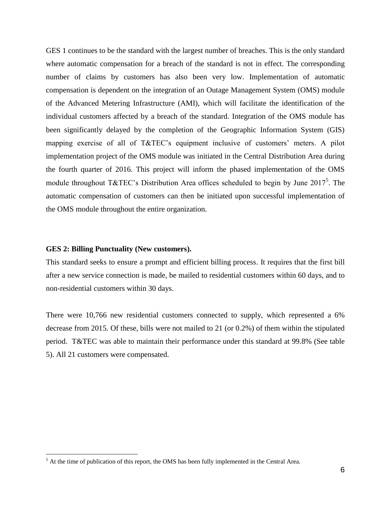GES 1 continues to be the standard with the largest number of breaches. This is the only standard where automatic compensation for a breach of the standard is not in effect. The corresponding number of claims by customers has also been very low. Implementation of automatic compensation is dependent on the integration of an Outage Management System (OMS) module of the Advanced Metering Infrastructure (AMI), which will facilitate the identification of the individual customers affected by a breach of the standard. Integration of the OMS module has been significantly delayed by the completion of the Geographic Information System (GIS) mapping exercise of all of T&TEC's equipment inclusive of customers' meters. A pilot implementation project of the OMS module was initiated in the Central Distribution Area during the fourth quarter of 2016. This project will inform the phased implementation of the OMS module throughout T&TEC's Distribution Area offices scheduled to begin by June  $2017^5$ . The automatic compensation of customers can then be initiated upon successful implementation of the OMS module throughout the entire organization.

#### <span id="page-14-0"></span>**GES 2: Billing Punctuality (New customers).**

 $\overline{a}$ 

This standard seeks to ensure a prompt and efficient billing process. It requires that the first bill after a new service connection is made, be mailed to residential customers within 60 days, and to non-residential customers within 30 days.

There were 10,766 new residential customers connected to supply, which represented a 6% decrease from 2015. Of these, bills were not mailed to 21 (or 0.2%) of them within the stipulated period. T&TEC was able to maintain their performance under this standard at 99.8% (See table 5). All 21 customers were compensated.

 $<sup>5</sup>$  At the time of publication of this report, the OMS has been fully implemented in the Central Area.</sup>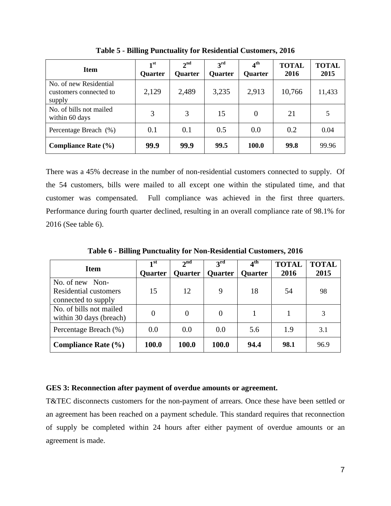<span id="page-15-1"></span>

| <b>Item</b>                                                | $\mathbf{1}^{\mathrm{st}}$<br>Quarter | 2 <sup>nd</sup><br><b>Quarter</b> | 3 <sup>rd</sup><br><b>Quarter</b> | 4 <sup>th</sup><br>Ouarter | <b>TOTAL</b><br>2016 | <b>TOTAL</b><br>2015 |
|------------------------------------------------------------|---------------------------------------|-----------------------------------|-----------------------------------|----------------------------|----------------------|----------------------|
| No. of new Residential<br>customers connected to<br>supply | 2,129                                 | 2,489                             | 3,235                             | 2,913                      | 10,766               | 11,433               |
| No. of bills not mailed<br>within 60 days                  | 3                                     | 3                                 | 15                                | 0                          | 21                   | 5                    |
| Percentage Breach (%)                                      | 0.1                                   | 0.1                               | 0.5                               | 0.0                        | 0.2                  | 0.04                 |
| <b>Compliance Rate (%)</b>                                 | 99.9                                  | 99.9                              | 99.5                              | 100.0                      | 99.8                 | 99.96                |

**Table 5 - Billing Punctuality for Residential Customers, 2016**

There was a 45% decrease in the number of non-residential customers connected to supply. Of the 54 customers, bills were mailed to all except one within the stipulated time, and that customer was compensated. Full compliance was achieved in the first three quarters. Performance during fourth quarter declined, resulting in an overall compliance rate of 98.1% for 2016 (See table 6).

<span id="page-15-2"></span>

| <b>Item</b>             | $\mathbf{1}^{\mathrm{st}}$ | $2^{\text{nd}}$ | 3 <sup>rd</sup> | $4^{\rm th}$   | <b>TOTAL</b> | <b>TOTAL</b> |
|-------------------------|----------------------------|-----------------|-----------------|----------------|--------------|--------------|
|                         | <b>Quarter</b>             | <b>Quarter</b>  | <b>Quarter</b>  | <b>Quarter</b> | 2016         | 2015         |
| No. of new Non-         |                            |                 |                 |                |              |              |
| Residential customers   | 15                         | 12              | 9               | 18             | 54           | 98           |
| connected to supply     |                            |                 |                 |                |              |              |
| No. of bills not mailed | $\overline{0}$             | $\Omega$        | 0               |                |              | 3            |
| within 30 days (breach) |                            |                 |                 |                |              |              |
| Percentage Breach (%)   | 0.0                        | 0.0             | 0.0             | 5.6            | 1.9          | 3.1          |
|                         |                            |                 |                 |                |              |              |
| Compliance Rate $(\% )$ | 100.0                      | 100.0           | 100.0           | 94.4           | 98.1         | 96.9         |

**Table 6 - Billing Punctuality for Non-Residential Customers, 2016**

#### <span id="page-15-0"></span>**GES 3: Reconnection after payment of overdue amounts or agreement.**

T&TEC disconnects customers for the non-payment of arrears. Once these have been settled or an agreement has been reached on a payment schedule. This standard requires that reconnection of supply be completed within 24 hours after either payment of overdue amounts or an agreement is made.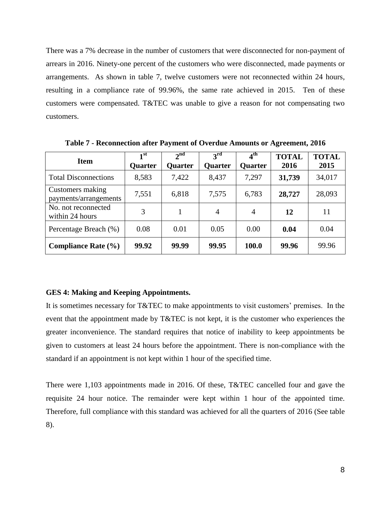There was a 7% decrease in the number of customers that were disconnected for non-payment of arrears in 2016. Ninety-one percent of the customers who were disconnected, made payments or arrangements. As shown in table 7, twelve customers were not reconnected within 24 hours, resulting in a compliance rate of 99.96%, the same rate achieved in 2015. Ten of these customers were compensated. T&TEC was unable to give a reason for not compensating two customers.

<span id="page-16-1"></span>

| <b>Item</b>                               | 1 <sup>st</sup><br><b>Quarter</b> | 2 <sup>nd</sup><br><b>Quarter</b> | $\mathbf{3}^{\rm rd}$<br><b>Quarter</b> | $4^{\rm th}$<br><b>Quarter</b> | <b>TOTAL</b><br>2016 | <b>TOTAL</b><br>2015 |
|-------------------------------------------|-----------------------------------|-----------------------------------|-----------------------------------------|--------------------------------|----------------------|----------------------|
| <b>Total Disconnections</b>               | 8,583                             | 7,422                             | 8,437                                   | 7,297                          | 31,739               | 34,017               |
| Customers making<br>payments/arrangements | 7,551                             | 6,818                             | 7,575                                   | 6,783                          | 28,727               | 28,093               |
| No. not reconnected<br>within 24 hours    | 3                                 |                                   | $\overline{4}$                          | $\overline{4}$                 | 12                   | 11                   |
| Percentage Breach (%)                     | 0.08                              | 0.01                              | 0.05                                    | 0.00                           | 0.04                 | 0.04                 |
| Compliance Rate $(\% )$                   | 99.92                             | 99.99                             | 99.95                                   | 100.0                          | 99.96                | 99.96                |

**Table 7 - Reconnection after Payment of Overdue Amounts or Agreement, 2016**

#### <span id="page-16-0"></span>**GES 4: Making and Keeping Appointments.**

It is sometimes necessary for T&TEC to make appointments to visit customers' premises. In the event that the appointment made by T&TEC is not kept, it is the customer who experiences the greater inconvenience. The standard requires that notice of inability to keep appointments be given to customers at least 24 hours before the appointment. There is non-compliance with the standard if an appointment is not kept within 1 hour of the specified time.

There were 1,103 appointments made in 2016. Of these, T&TEC cancelled four and gave the requisite 24 hour notice. The remainder were kept within 1 hour of the appointed time. Therefore, full compliance with this standard was achieved for all the quarters of 2016 (See table 8).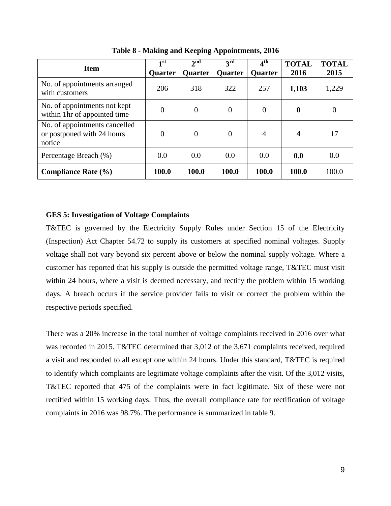<span id="page-17-1"></span>

| <b>Item</b>                                                           | $\mathbf{I}^{\mathrm{st}}$<br><b>Quarter</b> | $2^{nd}$<br><b>Quarter</b> | $3^{\rm rd}$<br><b>Quarter</b> | 4 <sup>th</sup><br><b>Quarter</b> | <b>TOTAL</b><br>2016 | <b>TOTAL</b><br>2015 |
|-----------------------------------------------------------------------|----------------------------------------------|----------------------------|--------------------------------|-----------------------------------|----------------------|----------------------|
| No. of appointments arranged<br>with customers                        | 206                                          | 318                        | 322                            | 257                               | 1,103                | 1,229                |
| No. of appointments not kept<br>within 1hr of appointed time          | $\overline{0}$                               | $\overline{0}$             | $\theta$                       | $\overline{0}$                    | $\boldsymbol{0}$     | 0                    |
| No. of appointments cancelled<br>or postponed with 24 hours<br>notice | $\overline{0}$                               | $\overline{0}$             | $\overline{0}$                 | 4                                 | 4                    | 17                   |
| Percentage Breach (%)                                                 | 0.0                                          | 0.0                        | 0.0                            | 0.0                               | 0.0                  | 0.0                  |
| <b>Compliance Rate (%)</b>                                            | 100.0                                        | 100.0                      | 100.0                          | 100.0                             | 100.0                | 100.0                |

**Table 8 - Making and Keeping Appointments, 2016**

#### <span id="page-17-0"></span>**GES 5: Investigation of Voltage Complaints**

T&TEC is governed by the Electricity Supply Rules under Section 15 of the Electricity (Inspection) Act Chapter 54.72 to supply its customers at specified nominal voltages. Supply voltage shall not vary beyond six percent above or below the nominal supply voltage. Where a customer has reported that his supply is outside the permitted voltage range, T&TEC must visit within 24 hours, where a visit is deemed necessary, and rectify the problem within 15 working days. A breach occurs if the service provider fails to visit or correct the problem within the respective periods specified.

There was a 20% increase in the total number of voltage complaints received in 2016 over what was recorded in 2015. T&TEC determined that 3,012 of the 3,671 complaints received, required a visit and responded to all except one within 24 hours. Under this standard, T&TEC is required to identify which complaints are legitimate voltage complaints after the visit. Of the 3,012 visits, T&TEC reported that 475 of the complaints were in fact legitimate. Six of these were not rectified within 15 working days. Thus, the overall compliance rate for rectification of voltage complaints in 2016 was 98.7%. The performance is summarized in table 9.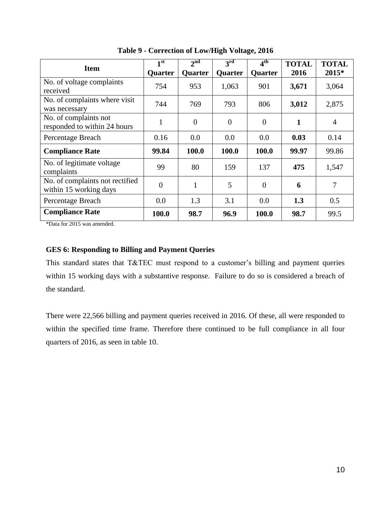<span id="page-18-1"></span>

| <b>Item</b>                                               | 1 <sup>st</sup><br>Quarter | 2 <sup>nd</sup><br>Quarter | $3^{\rm rd}$<br>Quarter | 4 <sup>th</sup><br>Quarter | <b>TOTAL</b><br>2016 | <b>TOTAL</b><br>2015* |
|-----------------------------------------------------------|----------------------------|----------------------------|-------------------------|----------------------------|----------------------|-----------------------|
| No. of voltage complaints<br>received                     | 754                        | 953                        | 1,063                   | 901                        | 3,671                | 3,064                 |
| No. of complaints where visit<br>was necessary            | 744                        | 769                        | 793                     | 806                        | 3,012                | 2,875                 |
| No. of complaints not<br>responded to within 24 hours     | $\mathbf{1}$               | $\overline{0}$             | $\overline{0}$          | $\theta$                   | 1                    | $\overline{4}$        |
| Percentage Breach                                         | 0.16                       | 0.0                        | 0.0                     | 0.0                        | 0.03                 | 0.14                  |
| <b>Compliance Rate</b>                                    | 99.84                      | 100.0                      | 100.0                   | 100.0                      | 99.97                | 99.86                 |
| No. of legitimate voltage<br>complaints                   | 99                         | 80                         | 159                     | 137                        | 475                  | 1,547                 |
| No. of complaints not rectified<br>within 15 working days | $\overline{0}$             |                            | 5                       | $\theta$                   | 6                    | 7                     |
| Percentage Breach                                         | 0.0                        | 1.3                        | 3.1                     | 0.0                        | 1.3                  | 0.5                   |
| <b>Compliance Rate</b>                                    | 100.0                      | 98.7                       | 96.9                    | 100.0                      | 98.7                 | 99.5                  |

**Table 9 - Correction of Low/High Voltage, 2016**

\*Data for 2015 was amended.

### <span id="page-18-0"></span>**GES 6: Responding to Billing and Payment Queries**

This standard states that T&TEC must respond to a customer's billing and payment queries within 15 working days with a substantive response. Failure to do so is considered a breach of the standard.

There were 22,566 billing and payment queries received in 2016. Of these, all were responded to within the specified time frame. Therefore there continued to be full compliance in all four quarters of 2016, as seen in table 10.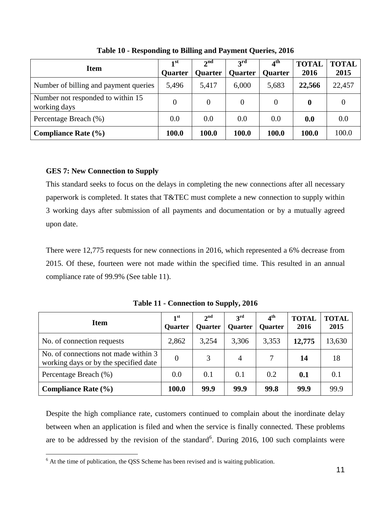<span id="page-19-1"></span>

| <b>Item</b>                                       | 1 st<br><b>Quarter</b> | $2^{nd}$<br><b>Quarter</b> | $3^{\rm rd}$<br><b>Quarter</b> | $4^{\text{th}}$<br><b>Quarter</b> | <b>TOTAL</b><br>2016 | <b>TOTAL</b><br>2015 |
|---------------------------------------------------|------------------------|----------------------------|--------------------------------|-----------------------------------|----------------------|----------------------|
| Number of billing and payment queries             | 5,496                  | 5,417                      | 6,000                          | 5,683                             | 22,566               | 22,457               |
| Number not responded to within 15<br>working days | 0                      | 0                          | 0                              | 0                                 | 0                    |                      |
| Percentage Breach (%)                             | 0.0                    | 0.0                        | 0.0                            | 0.0                               | 0.0                  | 0.0                  |
| Compliance Rate $(\% )$                           | 100.0                  | 100.0                      | 100.0                          | 100.0                             | 100.0                | 100.0                |

**Table 10 - Responding to Billing and Payment Queries, 2016**

#### <span id="page-19-0"></span>**GES 7: New Connection to Supply**

 $\overline{a}$ 

This standard seeks to focus on the delays in completing the new connections after all necessary paperwork is completed. It states that T&TEC must complete a new connection to supply within 3 working days after submission of all payments and documentation or by a mutually agreed upon date.

There were 12,775 requests for new connections in 2016, which represented a 6% decrease from 2015. Of these, fourteen were not made within the specified time. This resulted in an annual compliance rate of 99.9% (See table 11).

<span id="page-19-2"></span>

| <b>Item</b>                                                                   | 1 <sup>st</sup><br><b>Quarter</b> | 2 <sup>nd</sup><br><b>Quarter</b> | 3 <sup>rd</sup><br><b>Quarter</b> | $4^{\text{th}}$<br><b>Quarter</b> | <b>TOTAL</b><br>2016 | <b>TOTAL</b><br>2015 |
|-------------------------------------------------------------------------------|-----------------------------------|-----------------------------------|-----------------------------------|-----------------------------------|----------------------|----------------------|
| No. of connection requests                                                    | 2,862                             | 3,254                             | 3,306                             | 3,353                             | 12,775               | 13,630               |
| No. of connections not made within 3<br>working days or by the specified date | $\overline{0}$                    | 3                                 | $\overline{4}$                    | 7                                 | 14                   | 18                   |
| Percentage Breach (%)                                                         | 0.0                               | 0.1                               | 0.1                               | 0.2                               | 0.1                  | 0.1                  |
| <b>Compliance Rate (%)</b>                                                    | 100.0                             | 99.9                              | 99.9                              | 99.8                              | 99.9                 | 99.9                 |

**Table 11 - Connection to Supply, 2016**

Despite the high compliance rate, customers continued to complain about the inordinate delay between when an application is filed and when the service is finally connected. These problems are to be addressed by the revision of the standard<sup>6</sup>. During 2016, 100 such complaints were

 $<sup>6</sup>$  At the time of publication, the QSS Scheme has been revised and is waiting publication.</sup>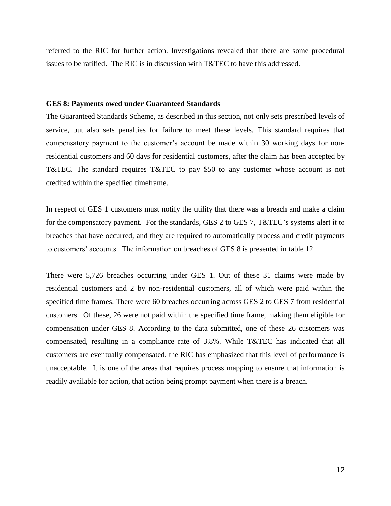referred to the RIC for further action. Investigations revealed that there are some procedural issues to be ratified. The RIC is in discussion with T&TEC to have this addressed.

#### <span id="page-20-0"></span>**GES 8: Payments owed under Guaranteed Standards**

The Guaranteed Standards Scheme, as described in this section, not only sets prescribed levels of service, but also sets penalties for failure to meet these levels. This standard requires that compensatory payment to the customer's account be made within 30 working days for nonresidential customers and 60 days for residential customers, after the claim has been accepted by T&TEC. The standard requires T&TEC to pay \$50 to any customer whose account is not credited within the specified timeframe.

In respect of GES 1 customers must notify the utility that there was a breach and make a claim for the compensatory payment. For the standards, GES 2 to GES 7, T&TEC's systems alert it to breaches that have occurred, and they are required to automatically process and credit payments to customers' accounts. The information on breaches of GES 8 is presented in table 12.

There were 5,726 breaches occurring under GES 1. Out of these 31 claims were made by residential customers and 2 by non-residential customers, all of which were paid within the specified time frames. There were 60 breaches occurring across GES 2 to GES 7 from residential customers. Of these, 26 were not paid within the specified time frame, making them eligible for compensation under GES 8. According to the data submitted, one of these 26 customers was compensated, resulting in a compliance rate of 3.8%. While T&TEC has indicated that all customers are eventually compensated, the RIC has emphasized that this level of performance is unacceptable. It is one of the areas that requires process mapping to ensure that information is readily available for action, that action being prompt payment when there is a breach.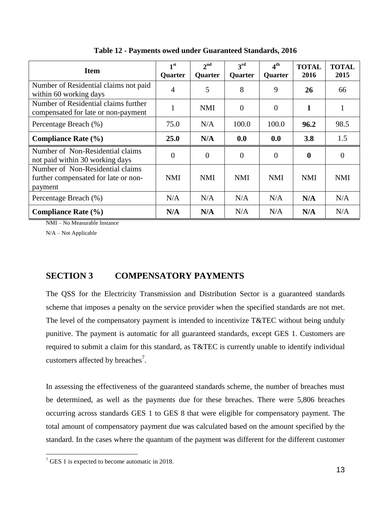<span id="page-21-1"></span>

| <b>Item</b>                                                                         | 1 <sup>st</sup><br>Quarter | $2^{\text{nd}}$<br>Quarter | $3^{\rm rd}$<br>Quarter | 4 <sup>th</sup><br><b>Quarter</b> | <b>TOTAL</b><br>2016 | <b>TOTAL</b><br>2015 |
|-------------------------------------------------------------------------------------|----------------------------|----------------------------|-------------------------|-----------------------------------|----------------------|----------------------|
| Number of Residential claims not paid<br>within 60 working days                     | $\overline{4}$             | 5                          | 8                       | 9                                 | 26                   | 66                   |
| Number of Residential claims further<br>compensated for late or non-payment         | -1<br>-1                   | <b>NMI</b>                 | $\overline{0}$          | $\theta$                          | 1                    |                      |
| Percentage Breach (%)                                                               | 75.0                       | N/A                        | 100.0                   | 100.0                             | 96.2                 | 98.5                 |
| <b>Compliance Rate (%)</b>                                                          | 25.0                       | N/A                        | 0.0                     | 0.0                               | 3.8                  | 1.5                  |
| Number of Non-Residential claims<br>not paid within 30 working days                 | $\theta$                   | $\theta$                   | $\overline{0}$          | $\theta$                          | $\boldsymbol{0}$     | $\Omega$             |
| Number of Non-Residential claims<br>further compensated for late or non-<br>payment | <b>NMI</b>                 | <b>NMI</b>                 | <b>NMI</b>              | <b>NMI</b>                        | <b>NMI</b>           | <b>NMI</b>           |
| Percentage Breach (%)                                                               | N/A                        | N/A                        | N/A                     | N/A                               | N/A                  | N/A                  |
| <b>Compliance Rate (%)</b>                                                          | N/A                        | N/A                        | N/A                     | N/A                               | N/A                  | N/A                  |

**Table 12 - Payments owed under Guaranteed Standards, 2016**

NMI – No Measurable Instance

N/A – Not Applicable

# <span id="page-21-0"></span>**SECTION 3 COMPENSATORY PAYMENTS**

The QSS for the Electricity Transmission and Distribution Sector is a guaranteed standards scheme that imposes a penalty on the service provider when the specified standards are not met. The level of the compensatory payment is intended to incentivize  $T\&TEC$  without being unduly punitive. The payment is automatic for all guaranteed standards, except GES 1. Customers are required to submit a claim for this standard, as T&TEC is currently unable to identify individual customers affected by breaches<sup>7</sup>.

In assessing the effectiveness of the guaranteed standards scheme, the number of breaches must be determined, as well as the payments due for these breaches. There were 5,806 breaches occurring across standards GES 1 to GES 8 that were eligible for compensatory payment. The total amount of compensatory payment due was calculated based on the amount specified by the standard. In the cases where the quantum of the payment was different for the different customer

 $\overline{a}$ 

 $7$  GES 1 is expected to become automatic in 2018.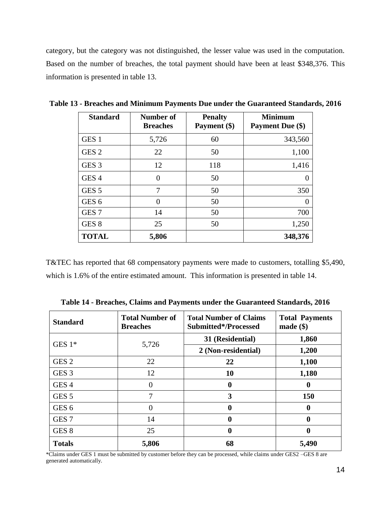category, but the category was not distinguished, the lesser value was used in the computation. Based on the number of breaches, the total payment should have been at least \$348,376. This information is presented in table 13.

| <b>Standard</b>  | Number of<br><b>Breaches</b> | <b>Penalty</b><br>Payment (\$) | <b>Minimum</b><br><b>Payment Due (\$)</b> |
|------------------|------------------------------|--------------------------------|-------------------------------------------|
| GES <sub>1</sub> | 5,726                        | 60                             | 343,560                                   |
| GES <sub>2</sub> | 22                           | 50                             | 1,100                                     |
| GES <sub>3</sub> | 12                           | 118                            | 1,416                                     |
| GES <sub>4</sub> | 0                            | 50                             |                                           |
| GES <sub>5</sub> | 7                            | 50                             | 350                                       |
| GES <sub>6</sub> | 0                            | 50                             |                                           |
| GES <sub>7</sub> | 14                           | 50                             | 700                                       |
| GES <sub>8</sub> | 25                           | 50                             | 1,250                                     |
| <b>TOTAL</b>     | 5,806                        |                                | 348,376                                   |

<span id="page-22-0"></span>**Table 13 - Breaches and Minimum Payments Due under the Guaranteed Standards, 2016**

T&TEC has reported that 68 compensatory payments were made to customers, totalling \$5,490, which is 1.6% of the entire estimated amount. This information is presented in table 14.

<span id="page-22-1"></span>

| <b>Standard</b>   | <b>Total Number of</b><br><b>Breaches</b> | <b>Total Number of Claims</b><br>Submitted*/Processed | <b>Total Payments</b><br>$made$ (\; \) |
|-------------------|-------------------------------------------|-------------------------------------------------------|----------------------------------------|
| GES $1*$<br>5,726 |                                           | 31 (Residential)                                      | 1,860                                  |
|                   |                                           | 2 (Non-residential)                                   | 1,200                                  |
| GES <sub>2</sub>  | 22                                        | 22                                                    | 1,100                                  |
| GES <sub>3</sub>  | 12                                        | 10                                                    | 1,180                                  |
| GES <sub>4</sub>  | $\Omega$                                  | 0                                                     | 0                                      |
| GES <sub>5</sub>  | 7                                         | 3                                                     | 150                                    |
| GES <sub>6</sub>  | $\theta$                                  | 0                                                     | $\bf{0}$                               |
| GES <sub>7</sub>  | 14                                        | 0                                                     | 0                                      |
| GES <sub>8</sub>  | 25                                        | $\boldsymbol{0}$                                      | 0                                      |
| <b>Totals</b>     | 5,806                                     | 68                                                    | 5,490                                  |

**Table 14 - Breaches, Claims and Payments under the Guaranteed Standards, 2016**

\*Claims under GES 1 must be submitted by customer before they can be processed, while claims under GES2 –GES 8 are generated automatically.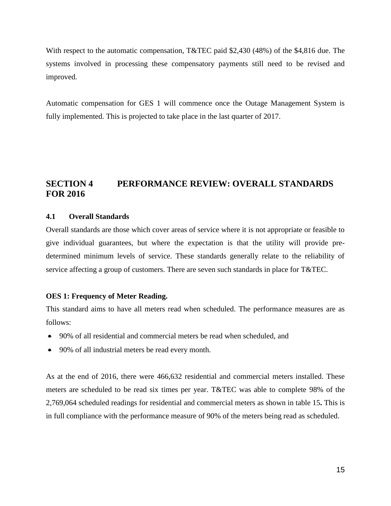With respect to the automatic compensation, T&TEC paid \$2,430 (48%) of the \$4,816 due. The systems involved in processing these compensatory payments still need to be revised and improved.

Automatic compensation for GES 1 will commence once the Outage Management System is fully implemented. This is projected to take place in the last quarter of 2017.

# <span id="page-23-0"></span>**SECTION 4 PERFORMANCE REVIEW: OVERALL STANDARDS FOR 2016**

#### <span id="page-23-1"></span>**4.1 Overall Standards**

Overall standards are those which cover areas of service where it is not appropriate or feasible to give individual guarantees, but where the expectation is that the utility will provide predetermined minimum levels of service. These standards generally relate to the reliability of service affecting a group of customers. There are seven such standards in place for T&TEC.

#### <span id="page-23-2"></span>**OES 1: Frequency of Meter Reading.**

This standard aims to have all meters read when scheduled. The performance measures are as follows:

- 90% of all residential and commercial meters be read when scheduled, and
- 90% of all industrial meters be read every month.

As at the end of 2016, there were 466,632 residential and commercial meters installed. These meters are scheduled to be read six times per year. T&TEC was able to complete 98% of the 2,769,064 scheduled readings for residential and commercial meters as shown in table 15**.** This is in full compliance with the performance measure of 90% of the meters being read as scheduled.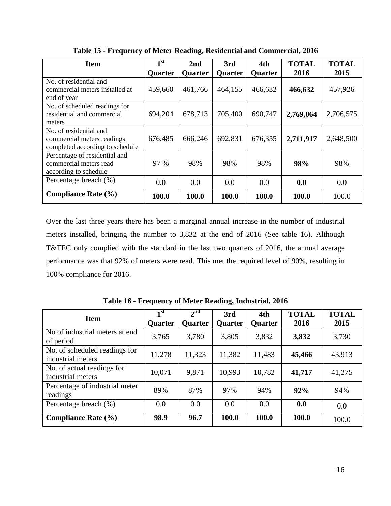<span id="page-24-0"></span>

| Item                                                                                    | 1 <sup>st</sup> | 2 <sub>nd</sub> | 3rd            | 4th            | <b>TOTAL</b> | <b>TOTAL</b> |
|-----------------------------------------------------------------------------------------|-----------------|-----------------|----------------|----------------|--------------|--------------|
|                                                                                         | <b>Quarter</b>  | <b>Ouarter</b>  | <b>Quarter</b> | <b>Quarter</b> | 2016         | 2015         |
| No. of residential and<br>commercial meters installed at<br>end of year                 | 459,660         | 461,766         | 464,155        | 466,632        | 466,632      | 457,926      |
| No. of scheduled readings for<br>residential and commercial<br>meters                   | 694,204         | 678,713         | 705,400        | 690,747        | 2,769,064    | 2,706,575    |
| No. of residential and<br>commercial meters readings<br>completed according to schedule | 676,485         | 666,246         | 692,831        | 676,355        | 2,711,917    | 2,648,500    |
| Percentage of residential and<br>commercial meters read<br>according to schedule        | 97 %            | 98%             | 98%            | 98%            | 98%          | 98%          |
| Percentage breach (%)                                                                   | 0.0             | 0.0             | 0.0            | 0.0            | 0.0          | 0.0          |
| <b>Compliance Rate (%)</b>                                                              | 100.0           | 100.0           | 100.0          | 100.0          | 100.0        | 100.0        |

**Table 15 - Frequency of Meter Reading, Residential and Commercial, 2016**

Over the last three years there has been a marginal annual increase in the number of industrial meters installed, bringing the number to 3,832 at the end of 2016 (See table 16). Although T&TEC only complied with the standard in the last two quarters of 2016, the annual average performance was that 92% of meters were read. This met the required level of 90%, resulting in 100% compliance for 2016.

<span id="page-24-1"></span>

| <b>Item</b>                                        | 1 <sup>st</sup><br>Quarter | 2 <sub>nd</sub><br><b>Quarter</b> | 3rd<br><b>Quarter</b> | 4th<br><b>Quarter</b> | <b>TOTAL</b><br>2016 | <b>TOTAL</b><br>2015 |
|----------------------------------------------------|----------------------------|-----------------------------------|-----------------------|-----------------------|----------------------|----------------------|
| No of industrial meters at end<br>of period        | 3,765                      | 3,780                             | 3,805                 | 3,832                 | 3,832                | 3,730                |
| No. of scheduled readings for<br>industrial meters | 11,278                     | 11,323                            | 11,382                | 11,483                | 45,466               | 43,913               |
| No. of actual readings for<br>industrial meters    | 10,071                     | 9,871                             | 10,993                | 10,782                | 41,717               | 41,275               |
| Percentage of industrial meter<br>readings         | 89%                        | 87%                               | 97%                   | 94%                   | 92%                  | 94%                  |
| Percentage breach (%)                              | 0.0                        | 0.0                               | 0.0                   | 0.0                   | 0.0                  | 0.0                  |
| <b>Compliance Rate (%)</b>                         | 98.9                       | 96.7                              | 100.0                 | 100.0                 | 100.0                | 100.0                |

**Table 16 - Frequency of Meter Reading, Industrial, 2016**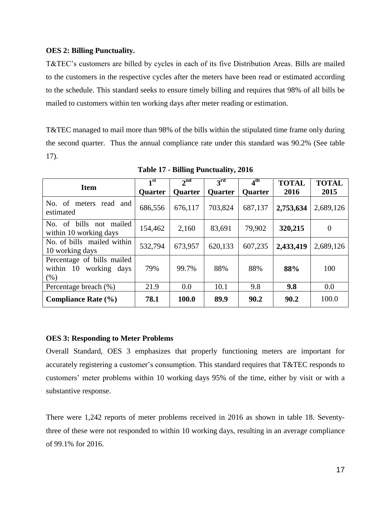#### <span id="page-25-0"></span>**OES 2: Billing Punctuality.**

T&TEC's customers are billed by cycles in each of its five Distribution Areas. Bills are mailed to the customers in the respective cycles after the meters have been read or estimated according to the schedule. This standard seeks to ensure timely billing and requires that 98% of all bills be mailed to customers within ten working days after meter reading or estimation.

T&TEC managed to mail more than 98% of the bills within the stipulated time frame only during the second quarter. Thus the annual compliance rate under this standard was 90.2% (See table 17).

<span id="page-25-2"></span>

| <b>Item</b>                                                        | 1 <sup>st</sup> | $2^{nd}$       | $\overline{3}^{\text{rd}}$ | $4^{\text{th}}$ | <b>TOTAL</b> | <b>TOTAL</b> |
|--------------------------------------------------------------------|-----------------|----------------|----------------------------|-----------------|--------------|--------------|
|                                                                    | <b>Quarter</b>  | <b>Quarter</b> | <b>Quarter</b>             | <b>Quarter</b>  | 2016         | 2015         |
| No. of meters read and<br>estimated                                | 686,556         | 676,117        | 703,824                    | 687,137         | 2,753,634    | 2,689,126    |
| of bills not mailed<br>No.<br>within 10 working days               | 154,462         | 2,160          | 83,691                     | 79,902          | 320,215      | $\theta$     |
| No. of bills mailed within<br>10 working days                      | 532,794         | 673,957        | 620,133                    | 607,235         | 2,433,419    | 2,689,126    |
| Percentage of bills mailed<br>working days<br>within 10<br>$(\% )$ | 79%             | 99.7%          | 88%                        | 88%             | 88%          | 100          |
| Percentage breach (%)                                              | 21.9            | 0.0            | 10.1                       | 9.8             | 9.8          | 0.0          |
| <b>Compliance Rate (%)</b>                                         | 78.1            | 100.0          | 89.9                       | 90.2            | 90.2         | 100.0        |

**Table 17 - Billing Punctuality, 2016**

#### <span id="page-25-1"></span>**OES 3: Responding to Meter Problems**

Overall Standard, OES 3 emphasizes that properly functioning meters are important for accurately registering a customer's consumption. This standard requires that T&TEC responds to customers' meter problems within 10 working days 95% of the time, either by visit or with a substantive response.

There were 1,242 reports of meter problems received in 2016 as shown in table 18. Seventythree of these were not responded to within 10 working days, resulting in an average compliance of 99.1% for 2016.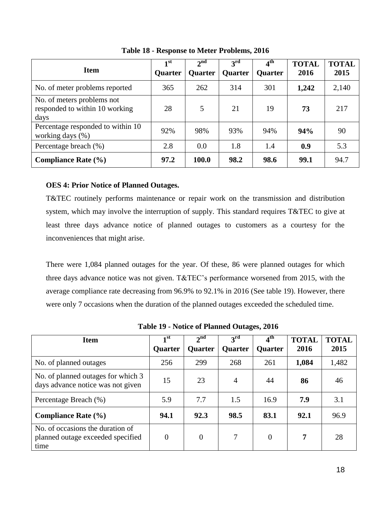<span id="page-26-1"></span>

| <b>Item</b>                                                          | 1 <sup>st</sup><br><b>Quarter</b> | $2^{nd}$<br>Quarter | 3 <sup>rd</sup><br>Quarter | $4^{\rm th}$<br><b>Quarter</b> | <b>TOTAL</b><br>2016 | <b>TOTAL</b><br>2015 |
|----------------------------------------------------------------------|-----------------------------------|---------------------|----------------------------|--------------------------------|----------------------|----------------------|
| No. of meter problems reported                                       | 365                               | 262                 | 314                        | 301                            | 1,242                | 2,140                |
| No. of meters problems not<br>responded to within 10 working<br>days | 28                                | 5                   | 21                         | 19                             | 73                   | 217                  |
| Percentage responded to within 10<br>working days $(\%)$             | 92%                               | 98%                 | 93%                        | 94%                            | 94%                  | 90                   |
| Percentage breach (%)                                                | 2.8                               | 0.0                 | 1.8                        | 1.4                            | 0.9                  | 5.3                  |
| Compliance Rate $(\% )$                                              | 97.2                              | 100.0               | 98.2                       | 98.6                           | 99.1                 | 94.7                 |

**Table 18 - Response to Meter Problems, 2016**

#### <span id="page-26-0"></span>**OES 4: Prior Notice of Planned Outages.**

T&TEC routinely performs maintenance or repair work on the transmission and distribution system, which may involve the interruption of supply. This standard requires T&TEC to give at least three days advance notice of planned outages to customers as a courtesy for the inconveniences that might arise.

There were 1,084 planned outages for the year. Of these, 86 were planned outages for which three days advance notice was not given. T&TEC's performance worsened from 2015, with the average compliance rate decreasing from 96.9% to 92.1% in 2016 (See table 19). However, there were only 7 occasions when the duration of the planned outages exceeded the scheduled time.

<span id="page-26-2"></span>

| <b>Item</b>                                                                   | 1 <sup>st</sup><br><b>Quarter</b> | 2 <sup>nd</sup><br><b>Quarter</b> | 3 <sup>rd</sup><br><b>Quarter</b> | 4 <sup>th</sup><br><b>Quarter</b> | <b>TOTAL</b><br>2016 | <b>TOTAL</b><br>2015 |
|-------------------------------------------------------------------------------|-----------------------------------|-----------------------------------|-----------------------------------|-----------------------------------|----------------------|----------------------|
| No. of planned outages                                                        | 256                               | 299                               | 268                               | 261                               | 1,084                | 1,482                |
| No. of planned outages for which 3<br>days advance notice was not given       | 15                                | 23                                | $\overline{A}$                    | 44                                | 86                   | 46                   |
| Percentage Breach (%)                                                         | 5.9                               | 7.7                               | 1.5                               | 16.9                              | 7.9                  | 3.1                  |
| Compliance Rate $(\% )$                                                       | 94.1                              | 92.3                              | 98.5                              | 83.1                              | 92.1                 | 96.9                 |
| No. of occasions the duration of<br>planned outage exceeded specified<br>time | $\Omega$                          | $\overline{0}$                    | 7                                 | $\Omega$                          | 7                    | 28                   |

**Table 19 - Notice of Planned Outages, 2016**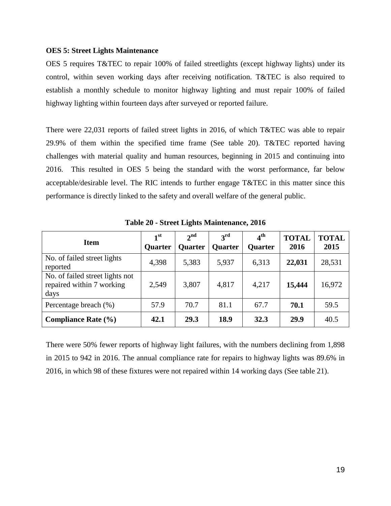#### <span id="page-27-0"></span>**OES 5: Street Lights Maintenance**

OES 5 requires T&TEC to repair 100% of failed streetlights (except highway lights) under its control, within seven working days after receiving notification. T&TEC is also required to establish a monthly schedule to monitor highway lighting and must repair 100% of failed highway lighting within fourteen days after surveyed or reported failure.

There were 22,031 reports of failed street lights in 2016, of which T&TEC was able to repair 29.9% of them within the specified time frame (See table 20). T&TEC reported having challenges with material quality and human resources, beginning in 2015 and continuing into 2016. This resulted in OES 5 being the standard with the worst performance, far below acceptable/desirable level. The RIC intends to further engage T&TEC in this matter since this performance is directly linked to the safety and overall welfare of the general public.

<span id="page-27-1"></span>

| <b>Item</b>                                                          | 1 <sup>st</sup><br><b>Quarter</b> | 2 <sup>nd</sup><br><b>Quarter</b> | $\mathbf{a}^{\text{rd}}$<br><b>Quarter</b> | 4 <sup>th</sup><br><b>Quarter</b> | <b>TOTAL</b><br>2016 | <b>TOTAL</b><br>2015 |
|----------------------------------------------------------------------|-----------------------------------|-----------------------------------|--------------------------------------------|-----------------------------------|----------------------|----------------------|
| No. of failed street lights<br>reported                              | 4,398                             | 5,383                             | 5,937                                      | 6,313                             | 22,031               | 28,531               |
| No. of failed street lights not<br>repaired within 7 working<br>days | 2,549                             | 3,807                             | 4,817                                      | 4,217                             | 15,444               | 16,972               |
| Percentage breach (%)                                                | 57.9                              | 70.7                              | 81.1                                       | 67.7                              | 70.1                 | 59.5                 |
| Compliance Rate $(\% )$                                              | 42.1                              | 29.3                              | 18.9                                       | 32.3                              | 29.9                 | 40.5                 |

**Table 20 - Street Lights Maintenance, 2016**

There were 50% fewer reports of highway light failures, with the numbers declining from 1,898 in 2015 to 942 in 2016. The annual compliance rate for repairs to highway lights was 89.6% in 2016, in which 98 of these fixtures were not repaired within 14 working days (See table 21).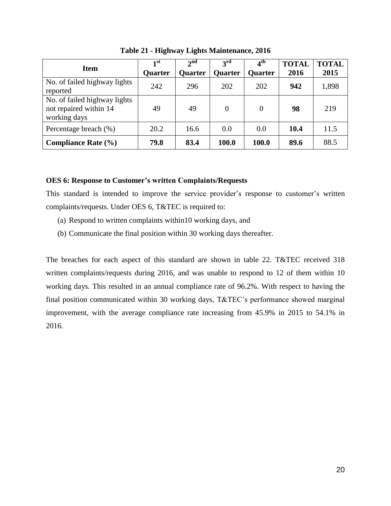<span id="page-28-1"></span>

| <b>Item</b>                                                            | $\mathbf{1}^{\mathrm{st}}$<br><b>Quarter</b> | $2^{\text{nd}}$<br><b>Quarter</b> | $3^{\rm rd}$<br><b>Quarter</b> | $4^{\text{th}}$<br><b>Quarter</b> | <b>TOTAL</b><br>2016 | <b>TOTAL</b><br>2015 |
|------------------------------------------------------------------------|----------------------------------------------|-----------------------------------|--------------------------------|-----------------------------------|----------------------|----------------------|
| No. of failed highway lights<br>reported                               | 242                                          | 296                               | 202                            | 202                               | 942                  | 1,898                |
| No. of failed highway lights<br>not repaired within 14<br>working days | 49                                           | 49                                | $\overline{0}$                 | 0                                 | 98                   | 219                  |
| Percentage breach (%)                                                  | 20.2                                         | 16.6                              | 0.0                            | 0.0                               | 10.4                 | 11.5                 |
| <b>Compliance Rate (%)</b>                                             | 79.8                                         | 83.4                              | 100.0                          | 100.0                             | 89.6                 | 88.5                 |

**Table 21 - Highway Lights Maintenance, 2016**

#### <span id="page-28-0"></span>**OES 6: Response to Customer's written Complaints/Requests**

This standard is intended to improve the service provider's response to customer's written complaints/requests. Under OES 6, T&TEC is required to:

- (a) Respond to written complaints within10 working days, and
- (b) Communicate the final position within 30 working days thereafter.

The breaches for each aspect of this standard are shown in table 22. T&TEC received 318 written complaints/requests during 2016, and was unable to respond to 12 of them within 10 working days. This resulted in an annual compliance rate of 96.2%. With respect to having the final position communicated within 30 working days, T&TEC's performance showed marginal improvement, with the average compliance rate increasing from 45.9% in 2015 to 54.1% in 2016.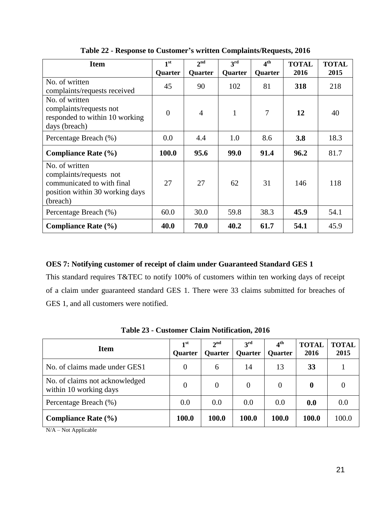<span id="page-29-1"></span>

| <b>Item</b>                                                                                                            | 1 <sup>st</sup> | 2 <sup>nd</sup> | 3 <sup>rd</sup> | 4 <sup>th</sup> | <b>TOTAL</b> | <b>TOTAL</b> |
|------------------------------------------------------------------------------------------------------------------------|-----------------|-----------------|-----------------|-----------------|--------------|--------------|
|                                                                                                                        | Quarter         | Quarter         | Quarter         | Quarter         | 2016         | 2015         |
| No. of written<br>complaints/requests received                                                                         | 45              | 90              | 102             | 81              | 318          | 218          |
| No. of written<br>complaints/requests not<br>responded to within 10 working<br>days (breach)                           | $\theta$        | $\overline{4}$  | $\mathbf{1}$    | $\overline{7}$  | 12           | 40           |
| Percentage Breach (%)                                                                                                  | 0.0             | 4.4             | 1.0             | 8.6             | 3.8          | 18.3         |
| <b>Compliance Rate (%)</b>                                                                                             | 100.0           | 95.6            | 99.0            | 91.4            | 96.2         | 81.7         |
| No. of written<br>complaints/requests not<br>communicated to with final<br>position within 30 working days<br>(breach) | 27              | 27              | 62              | 31              | 146          | 118          |
| Percentage Breach (%)                                                                                                  | 60.0            | 30.0            | 59.8            | 38.3            | 45.9         | 54.1         |
| <b>Compliance Rate (%)</b>                                                                                             | 40.0            | 70.0            | 40.2            | 61.7            | 54.1         | 45.9         |

**Table 22 - Response to Customer's written Complaints/Requests, 2016**

# <span id="page-29-0"></span>**OES 7: Notifying customer of receipt of claim under Guaranteed Standard GES 1**

This standard requires T&TEC to notify 100% of customers within ten working days of receipt of a claim under guaranteed standard GES 1. There were 33 claims submitted for breaches of GES 1, and all customers were notified.

<span id="page-29-2"></span>

| <b>Item</b>                                              | $\mathbf{1}^{\mathrm{st}}$<br><b>Quarter</b> | 2 <sup>nd</sup><br><b>Quarter</b> | 3 <sup>rd</sup><br><b>Quarter</b> | 4 <sup>th</sup><br><b>Quarter</b> | <b>TOTAL</b><br>2016 | <b>TOTAL</b><br>2015 |
|----------------------------------------------------------|----------------------------------------------|-----------------------------------|-----------------------------------|-----------------------------------|----------------------|----------------------|
| No. of claims made under GES1                            | $\theta$                                     | 6                                 | 14                                | 13                                | 33                   |                      |
| No. of claims not acknowledged<br>within 10 working days | $\Omega$                                     | $\overline{0}$                    | $\theta$                          | $\Omega$                          | 0                    | $\theta$             |
| Percentage Breach (%)                                    | 0.0                                          | 0.0                               | 0.0                               | 0.0                               | 0.0                  | 0.0                  |
| Compliance Rate $(\% )$                                  | 100.0                                        | 100.0                             | 100.0                             | 100.0                             | 100.0                | 100.0                |

**Table 23 - Customer Claim Notification, 2016**

N/A – Not Applicable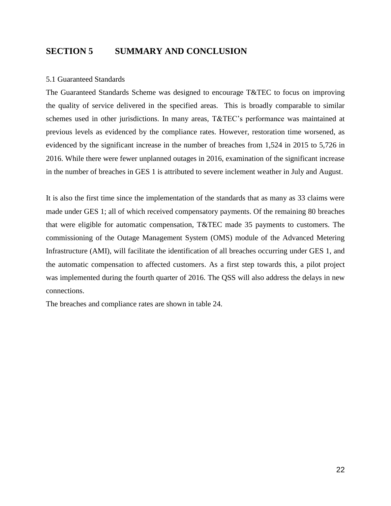### <span id="page-30-0"></span>**SECTION 5 SUMMARY AND CONCLUSION**

#### <span id="page-30-1"></span>5.1 Guaranteed Standards

The Guaranteed Standards Scheme was designed to encourage T&TEC to focus on improving the quality of service delivered in the specified areas. This is broadly comparable to similar schemes used in other jurisdictions. In many areas, T&TEC's performance was maintained at previous levels as evidenced by the compliance rates. However, restoration time worsened, as evidenced by the significant increase in the number of breaches from 1,524 in 2015 to 5,726 in 2016. While there were fewer unplanned outages in 2016, examination of the significant increase in the number of breaches in GES 1 is attributed to severe inclement weather in July and August.

It is also the first time since the implementation of the standards that as many as 33 claims were made under GES 1; all of which received compensatory payments. Of the remaining 80 breaches that were eligible for automatic compensation, T&TEC made 35 payments to customers. The commissioning of the Outage Management System (OMS) module of the Advanced Metering Infrastructure (AMI), will facilitate the identification of all breaches occurring under GES 1, and the automatic compensation to affected customers. As a first step towards this, a pilot project was implemented during the fourth quarter of 2016. The QSS will also address the delays in new connections.

The breaches and compliance rates are shown in table 24.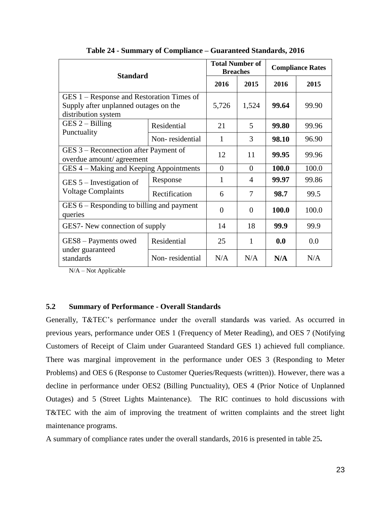<span id="page-31-1"></span>

| <b>Standard</b>                                                                                           |                 |                | <b>Total Number of</b><br><b>Breaches</b> |       | <b>Compliance Rates</b> |  |  |
|-----------------------------------------------------------------------------------------------------------|-----------------|----------------|-------------------------------------------|-------|-------------------------|--|--|
|                                                                                                           |                 | 2016           | 2015                                      | 2016  | 2015                    |  |  |
| GES 1 – Response and Restoration Times of<br>Supply after unplanned outages on the<br>distribution system | 5,726           | 1,524          | 99.64                                     | 99.90 |                         |  |  |
| $GES 2 - Billing$                                                                                         | Residential     | 21             | 5                                         | 99.80 | 99.96                   |  |  |
| Punctuality                                                                                               | Non-residential | $\mathbf{1}$   | 3                                         | 98.10 | 96.90                   |  |  |
| GES 3 – Reconnection after Payment of<br>overdue amount/ agreement                                        | 12              | 11             | 99.95                                     | 99.96 |                         |  |  |
| GES 4 – Making and Keeping Appointments                                                                   |                 | $\overline{0}$ | $\Omega$                                  | 100.0 | 100.0                   |  |  |
| $GES 5$ – Investigation of                                                                                | Response        | 1              | $\overline{4}$                            | 99.97 | 99.86                   |  |  |
| <b>Voltage Complaints</b>                                                                                 | Rectification   | 6              | 7                                         | 98.7  | 99.5                    |  |  |
| $GES_6 -$ Responding to billing and payment<br>queries                                                    |                 | $\Omega$       | $\theta$                                  | 100.0 | 100.0                   |  |  |
| GES7- New connection of supply                                                                            | 14              | 18             | 99.9                                      | 99.9  |                         |  |  |
| GES8 – Payments owed                                                                                      | Residential     | 25             | 1                                         | 0.0   | 0.0                     |  |  |
| under guaranteed<br>standards                                                                             | Non-residential | N/A            | N/A                                       | N/A   | N/A                     |  |  |

**Table 24 - Summary of Compliance – Guaranteed Standards, 2016**

N/A – Not Applicable

# <span id="page-31-0"></span>**5.2 Summary of Performance - Overall Standards**

Generally, T&TEC's performance under the overall standards was varied. As occurred in previous years, performance under OES 1 (Frequency of Meter Reading), and OES 7 (Notifying Customers of Receipt of Claim under Guaranteed Standard GES 1) achieved full compliance. There was marginal improvement in the performance under OES 3 (Responding to Meter Problems) and OES 6 (Response to Customer Queries/Requests (written)). However, there was a decline in performance under OES2 (Billing Punctuality), OES 4 (Prior Notice of Unplanned Outages) and 5 (Street Lights Maintenance). The RIC continues to hold discussions with T&TEC with the aim of improving the treatment of written complaints and the street light maintenance programs.

A summary of compliance rates under the overall standards, 2016 is presented in table 25**.**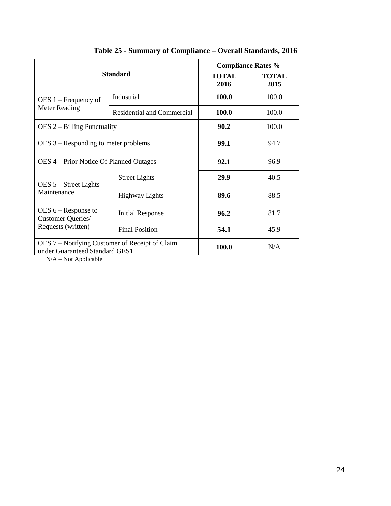<span id="page-32-0"></span>

|                                                                                  | <b>Compliance Rates %</b>         |                      |       |
|----------------------------------------------------------------------------------|-----------------------------------|----------------------|-------|
| <b>Standard</b>                                                                  | <b>TOTAL</b><br>2016              | <b>TOTAL</b><br>2015 |       |
| $OES 1$ – Frequency of                                                           | Industrial                        | 100.0                | 100.0 |
| Meter Reading                                                                    | <b>Residential and Commercial</b> | 100.0                | 100.0 |
| $DES 2 - Billing Punctuality$                                                    |                                   | 90.2                 | 100.0 |
| $OES_3$ – Responding to meter problems                                           | 99.1                              | 94.7                 |       |
| OES 4 – Prior Notice Of Planned Outages                                          |                                   | 92.1                 | 96.9  |
|                                                                                  | <b>Street Lights</b>              | 29.9                 | 40.5  |
| $DES 5 - Street Lights$<br>Maintenance                                           | <b>Highway Lights</b>             | 89.6                 | 88.5  |
| $DES 6 - Response to$<br>Customer Queries/                                       | <b>Initial Response</b>           | 96.2                 | 81.7  |
| Requests (written)                                                               | <b>Final Position</b>             | 54.1                 | 45.9  |
| OES 7 – Notifying Customer of Receipt of Claim<br>under Guaranteed Standard GES1 | 100.0                             | N/A                  |       |

# **Table 25 - Summary of Compliance – Overall Standards, 2016**

N/A – Not Applicable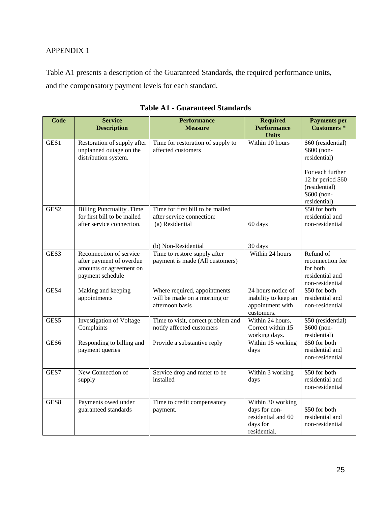# APPENDIX 1

Table A1 presents a description of the Guaranteed Standards, the required performance units, and the compensatory payment levels for each standard.

<span id="page-33-0"></span>

| <b>Code</b>      | <b>Service</b><br><b>Description</b>                                                               | <b>Performance</b><br><b>Measure</b>                                                   | <b>Required</b><br><b>Performance</b><br><b>Units</b>                                | <b>Payments per</b><br><b>Customers</b> *                                                                                                  |
|------------------|----------------------------------------------------------------------------------------------------|----------------------------------------------------------------------------------------|--------------------------------------------------------------------------------------|--------------------------------------------------------------------------------------------------------------------------------------------|
| GES <sub>1</sub> | Restoration of supply after<br>unplanned outage on the<br>distribution system.                     | Time for restoration of supply to<br>affected customers                                | Within 10 hours                                                                      | \$60 (residential)<br>\$600 (non-<br>residential)<br>For each further<br>12 hr period \$60<br>(residential)<br>\$600 (non-<br>residential) |
| GES <sub>2</sub> | <b>Billing Punctuality .Time</b><br>for first bill to be mailed<br>after service connection.       | Time for first bill to be mailed<br>after service connection:<br>(a) Residential       | 60 days                                                                              | \$50 for both<br>residential and<br>non-residential                                                                                        |
| GES <sub>3</sub> | Reconnection of service<br>after payment of overdue<br>amounts or agreement on<br>payment schedule | (b) Non-Residential<br>Time to restore supply after<br>payment is made (All customers) | 30 days<br>Within 24 hours                                                           | Refund of<br>reconnection fee<br>for both<br>residential and<br>non-residential                                                            |
| GES4             | Making and keeping<br>appointments                                                                 | Where required, appointments<br>will be made on a morning or<br>afternoon basis        | 24 hours notice of<br>inability to keep an<br>appointment with<br>customers.         | \$50 for both<br>residential and<br>non-residential                                                                                        |
| GES5             | <b>Investigation of Voltage</b><br>Complaints                                                      | Time to visit, correct problem and<br>notify affected customers                        | Within 24 hours,<br>Correct within 15<br>working days.                               | \$50 (residential)<br>\$600 (non-<br>residential)                                                                                          |
| GES <sub>6</sub> | Responding to billing and<br>payment queries                                                       | Provide a substantive reply                                                            | Within 15 working<br>days                                                            | \$50 for both<br>residential and<br>non-residential                                                                                        |
| GES7             | New Connection of<br>supply                                                                        | Service drop and meter to be<br>installed                                              | Within 3 working<br>days                                                             | \$50 for both<br>residential and<br>non-residential                                                                                        |
| GES8             | Payments owed under<br>guaranteed standards                                                        | Time to credit compensatory<br>payment.                                                | Within 30 working<br>days for non-<br>residential and 60<br>days for<br>residential. | \$50 for both<br>residential and<br>non-residential                                                                                        |

**Table A1 - Guaranteed Standards**